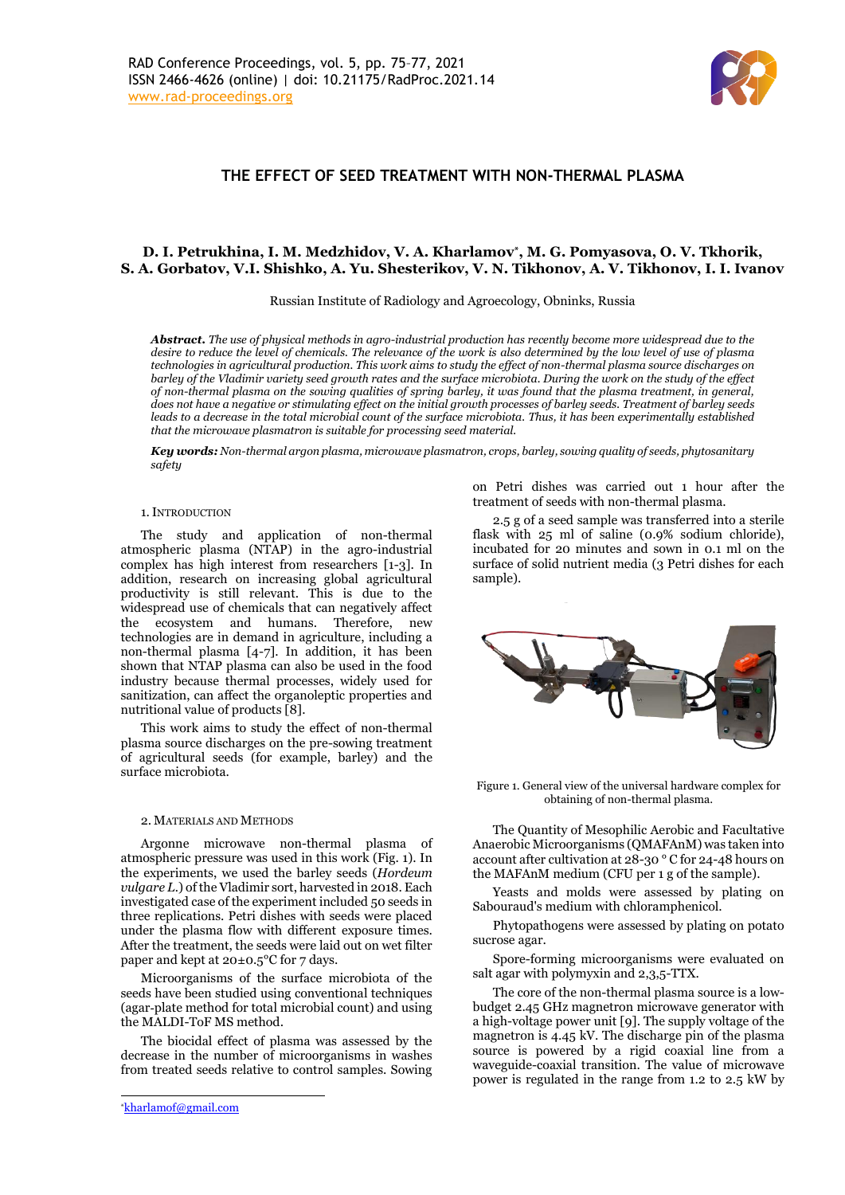

# **THE EFFECT OF SEED TREATMENT WITH NON-THERMAL PLASMA**

## **D. I. Petrukhina, I. M. Medzhidov, V. A. Kharlamov\* , M. G. Pomyasova, O. V. Tkhorik, S. A. Gorbatov, V.I. Shishko, A. Yu. Shesterikov, V. N. Tikhonov, A. V. Tikhonov, I. I. Ivanov**

Russian Institute of Radiology and Agroecology, Obninks, Russia

*Abstract. The use of physical methods in agro-industrial production has recently become more widespread due to the desire to reduce the level of chemicals. The relevance of the work is also determined by the low level of use of plasma technologies in agricultural production. This work aims to study the effect of non-thermal plasma source discharges on barley of the Vladimir variety seed growth rates and the surface microbiota. During the work on the study of the effect of non-thermal plasma on the sowing qualities of spring barley, it was found that the plasma treatment, in general, does not have a negative or stimulating effect on the initial growth processes of barley seeds. Treatment of barley seeds leads to a decrease in the total microbial count of the surface microbiota. Thus, it has been experimentally established that the microwave plasmatron is suitable for processing seed material.*

*Key words: Non-thermal argon plasma, microwave plasmatron, crops, barley, sowing quality of seeds, phytosanitary safety*

#### 1.INTRODUCTION

The study and application of non-thermal atmospheric plasma (NTAP) in the agro-industrial complex has high interest from researchers [1-3]. In addition, research on increasing global agricultural productivity is still relevant. This is due to the widespread use of chemicals that can negatively affect the ecosystem and humans. Therefore, new technologies are in demand in agriculture, including a non-thermal plasma [4-7]. In addition, it has been shown that NTAP plasma can also be used in the food industry because thermal processes, widely used for sanitization, can affect the organoleptic properties and nutritional value of products [8].

This work aims to study the effect of non-thermal plasma source discharges on the pre-sowing treatment of agricultural seeds (for example, barley) and the surface microbiota.

### 2. MATERIALS AND METHODS

Argonne microwave non-thermal plasma of atmospheric pressure was used in this work (Fig. 1). In the experiments, we used the barley seeds (*Hordeum vulgare L.*) of the Vladimir sort, harvested in 2018. Each investigated case of the experiment included 50 seeds in three replications. Petri dishes with seeds were placed under the plasma flow with different exposure times. After the treatment, the seeds were laid out on wet filter paper and kept at 20±0.5°C for 7 days.

Microorganisms of the surface microbiota of the seeds have been studied using conventional techniques (аgar‐plate method for total microbial count) and using the MALDI-ToF MS method.

The biocidal effect of plasma was assessed by the decrease in the number of microorganisms in washes from treated seeds relative to control samples. Sowing on Petri dishes was carried out 1 hour after the treatment of seeds with non-thermal plasma.

2.5 g of a seed sample was transferred into a sterile flask with 25 ml of saline (0.9% sodium chloride), incubated for 20 minutes and sown in 0.1 ml on the surface of solid nutrient media (3 Petri dishes for each sample).



Figure 1. General view of the universal hardware complex for obtaining of non-thermal plasma.

The Quantity of Mesophilic Aerobic and Facultative Anaerobic Microorganisms (QMAFAnM) was taken into account after cultivation at 28-30 ° C for 24-48 hours on the MAFAnM medium (CFU per 1 g of the sample).

Yeasts and molds were assessed by plating on Sabouraud's medium with chloramphenicol.

Phytopathogens were assessed by plating on potato sucrose agar.

Spore-forming microorganisms were evaluated on salt agar with polymyxin and 2,3,5-TTX.

The core of the non-thermal plasma source is a lowbudget 2.45 GHz magnetron microwave generator with a high-voltage power unit [9]. The supply voltage of the magnetron is 4.45 kV. The discharge pin of the plasma source is powered by a rigid coaxial line from a waveguide-coaxial transition. The value of microwave power is regulated in the range from 1.2 to 2.5 kW by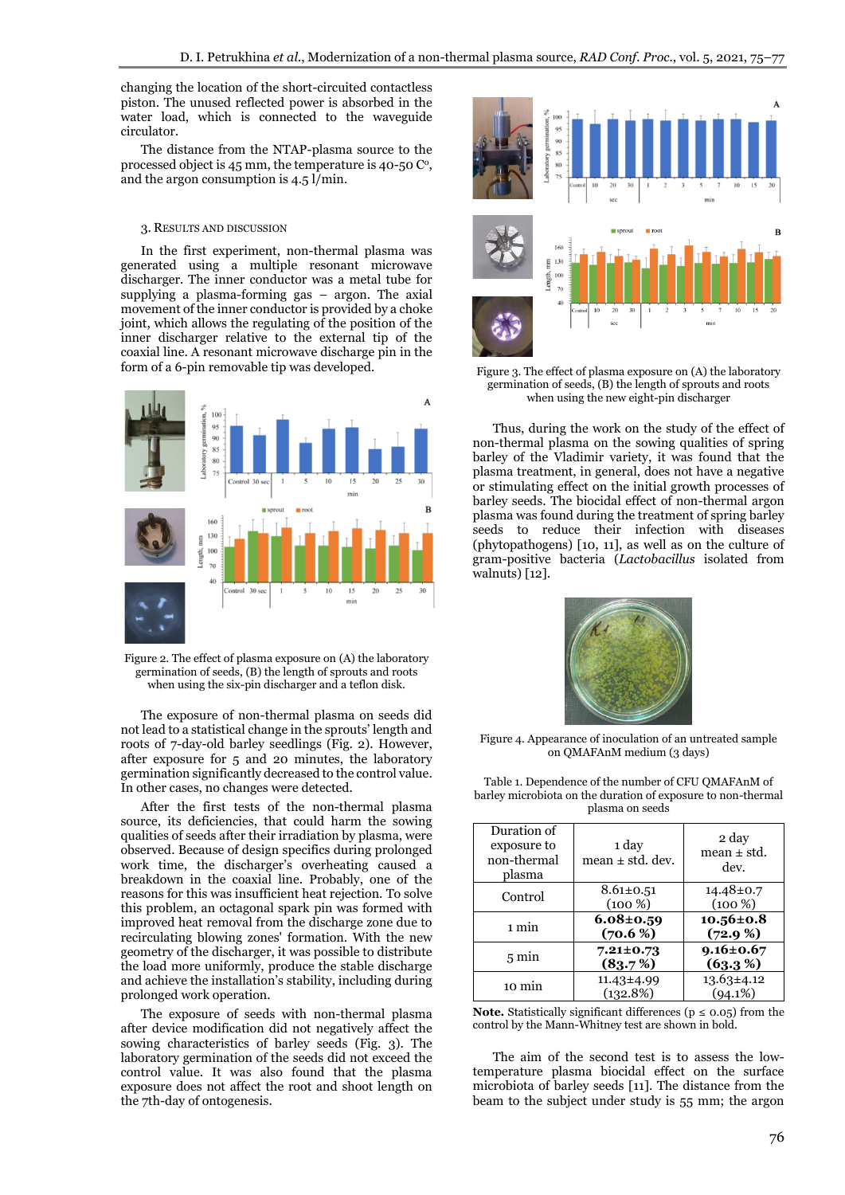changing the location of the short-circuited contactless piston. The unused reflected power is absorbed in the water load, which is connected to the waveguide circulator.

The distance from the NTAP-plasma source to the processed object is  $45 \text{ mm}$ , the temperature is  $40$ -50  $\text{C}^{\circ}$ , and the argon consumption is  $4.5 \frac{\text{I}}{\text{min}}$ .

### 3. RESULTS AND DISCUSSION

In the first experiment, non-thermal plasma was generated using a multiple resonant microwave discharger. The inner conductor was a metal tube for supplying a plasma-forming gas – argon. The axial movement of the inner conductor is provided by a choke joint, which allows the regulating of the position of the inner discharger relative to the external tip of the coaxial line. A resonant microwave discharge pin in the form of a 6-pin removable tip was developed.



Figure 2. The effect of plasma exposure on (A) the laboratory germination of seeds, (B) the length of sprouts and roots when using the six-pin discharger and a teflon disk.

The exposure of non-thermal plasma on seeds did not lead to a statistical change in the sprouts' length and roots of 7-day-old barley seedlings (Fig. 2). However, after exposure for 5 and 20 minutes, the laboratory germination significantly decreased to the control value. In other cases, no changes were detected.

After the first tests of the non-thermal plasma source, its deficiencies, that could harm the sowing qualities of seeds after their irradiation by plasma, were observed. Because of design specifics during prolonged work time, the discharger's overheating caused a breakdown in the coaxial line. Probably, one of the reasons for this was insufficient heat rejection. To solve this problem, an octagonal spark pin was formed with improved heat removal from the discharge zone due to recirculating blowing zones' formation. With the new geometry of the discharger, it was possible to distribute the load more uniformly, produce the stable discharge and achieve the installation's stability, including during prolonged work operation.

The exposure of seeds with non-thermal plasma after device modification did not negatively affect the sowing characteristics of barley seeds (Fig. 3). The laboratory germination of the seeds did not exceed the control value. It was also found that the plasma exposure does not affect the root and shoot length on the 7th-day of ontogenesis.



Figure 3. The effect of plasma exposure on (A) the laboratory germination of seeds, (B) the length of sprouts and roots when using the new eight-pin discharger

Thus, during the work on the study of the effect of non-thermal plasma on the sowing qualities of spring barley of the Vladimir variety, it was found that the plasma treatment, in general, does not have a negative or stimulating effect on the initial growth processes of barley seeds. The biocidal effect of non-thermal argon plasma was found during the treatment of spring barley seeds to reduce their infection with diseases (phytopathogens) [10, 11], as well as on the culture of gram-positive bacteria (*Lactobacillus* isolated from walnuts) [12].



Figure 4. Appearance of inoculation of an untreated sample on QMAFAnM medium (3 days)

| Duration of<br>exposure to<br>non-thermal<br>plasma | 1 day<br>mean $\pm$ std. dev. | 2 day<br>mean ± std.<br>dev.   |
|-----------------------------------------------------|-------------------------------|--------------------------------|
| Control                                             | $8.61 \pm 0.51$<br>$(100\%)$  | $14.48 \pm 0.7$<br>$(100\%)$   |
| 1 min                                               | $6.08 \pm 0.59$<br>$(70.6\%)$ | $10.56 \pm 0.8$<br>$(72.9\%)$  |
| $5 \text{ min}$                                     | $7.21 \pm 0.73$<br>(83.7%)    | $9.16 \pm 0.67$<br>(63.3%)     |
| 10 min                                              | 11.43±4.99<br>(132.8%)        | $13.63 \pm 4.12$<br>$(94.1\%)$ |

Table 1. Dependence of the number of CFU QMAFAnM of barley microbiota on the duration of exposure to non-thermal plasma on seeds

**Note.** Statistically significant differences ( $p \le 0.05$ ) from the control by the Mann-Whitney test are shown in bold.

The aim of the second test is to assess the lowtemperature plasma biocidal effect on the surface microbiota of barley seeds [11]. The distance from the beam to the subject under study is 55 mm; the argon